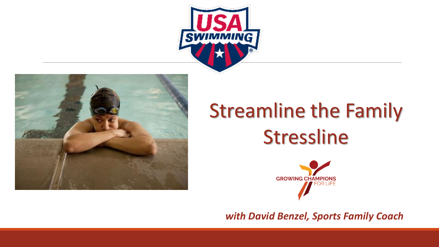



# Streamline the Family Stressline



*with David Benzel, Sports Family Coach*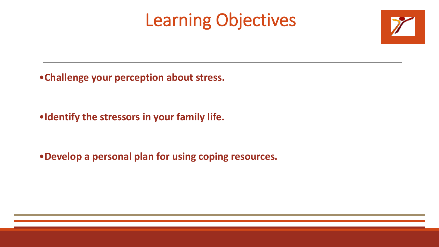# Learning Objectives



•**Challenge your perception about stress.**

•**Identify the stressors in your family life.**

•**Develop a personal plan for using coping resources.**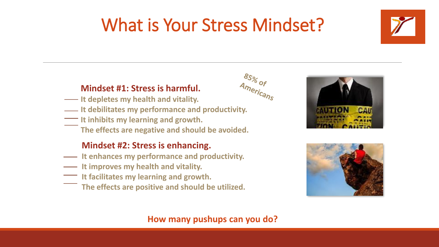# What is Your Stress Mindset?



#### **Mindset #1: Stress is harmful.**

- **It depletes my health and vitality.**
- **IF 15** It debilitates my performance and productivity.
- **It inhibits my learning and growth.** 
	- **The effects are negative and should be avoided.**

#### **Mindset #2: Stress is enhancing.**

- **It enhances my performance and productivity.**
- **It improves my health and vitality.**
- **It facilitates my learning and growth.**
- **The effects are positive and should be utilized.**





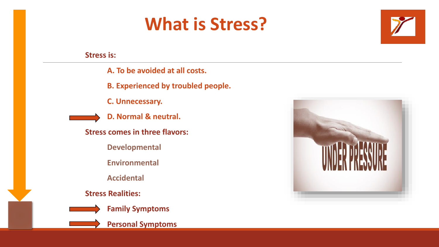## **What is Stress?**



**Stress is:**

- **A. To be avoided at all costs.**
- **B. Experienced by troubled people.**
- **C. Unnecessary.**



- **D. Normal & neutral.**
- **Stress comes in three flavors:**
	- **Developmental**
	- **Environmental**
	- **Accidental**
- **Stress Realities:**



- **Family Symptoms**
- **Personal Symptoms**

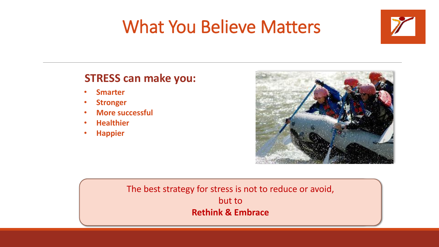# What You Believe Matters



#### **STRESS can make you:**

- **Smarter**
- **Stronger**
- **More successful**
- **Healthier**
- **Happier**



#### **In a 15 Yeart Study of a 15 years of 55 years as a 15 years as as as as** *The best strategy for stress is not to reduce or avoid,* **trustworthy were still alive at the end of the study.** but to **But of those who had a more cynical view of human nature, 60% of them had Rethink & Embrace**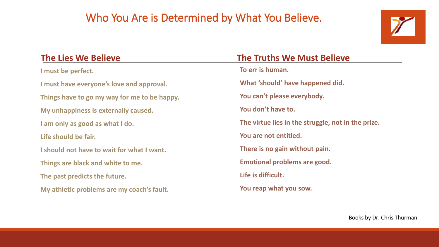### Who You Are is Determined by What You Believe.



**I must be perfect. I must have everyone's love and approval. Things have to go my way for me to be happy. My unhappiness is externally caused. I am only as good as what I do. Life should be fair. I should not have to wait for what I want. Things are black and white to me. The past predicts the future. My athletic problems are my coach's fault.**

#### **The Lies We Believe The Truths We Must Believe To err is human. What 'should' have happened did. You can't please everybody. You don't have to. The virtue lies in the struggle, not in the prize. You are not entitled. There is no gain without pain. Emotional problems are good. Life is difficult. You reap what you sow.**

Books by Dr. Chris Thurman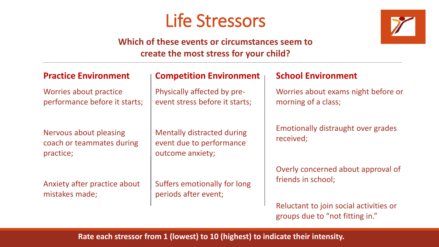### Life Stressors



#### **Which of these events or circumstances seem to create the most stress for your child?**

| <b>Practice Environment</b>                                      | <b>Competition Environment</b>                                                    | <b>School Environment</b>                                                 |
|------------------------------------------------------------------|-----------------------------------------------------------------------------------|---------------------------------------------------------------------------|
| Worries about practice<br>performance before it starts;          | Physically affected by pre-<br>event stress before it starts;                     | Worries about exams night before or<br>morning of a class;                |
| Nervous about pleasing<br>coach or teammates during<br>practice; | <b>Mentally distracted during</b><br>event due to performance<br>outcome anxiety; | Emotionally distraught over grades<br>received;                           |
| Anxiety after practice about<br>mistakes made;                   | Suffers emotionally for long<br>periods after event;                              | Overly concerned about approval of<br>friends in school;                  |
|                                                                  |                                                                                   | Reluctant to join social activities or<br>groups due to "not fitting in." |

#### **Rate each stressor from 1 (lowest) to 10 (highest) to indicate their intensity.**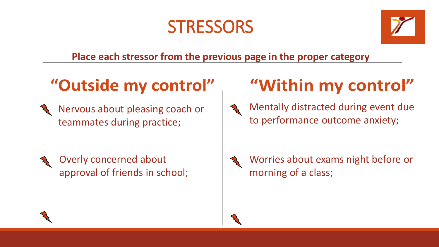### **STRESSORS**



**Place each stressor from the previous page in the proper category**

### "Outside my control"

- Nervous about pleasing coach or teammates during practice;
	- Overly concerned about approval of friends in school;

# "Within my control"



Mentally distracted during event due to performance outcome anxiety;



Worries about exams night before or morning of a class;

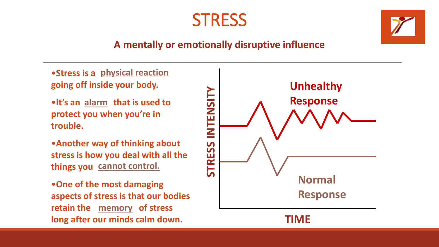

#### **A mentally or emotionally disruptive influence**

•**Stress is a physical reaction going off inside your body.** 

•It's an **alarm** that is used to **protect you when you're in trouble.**

•**Another way of thinking about stress is how you deal with all the things you cannot control.**

•**One of the most damaging aspects of stress is that our bodies**  retain the **memory** of stress **long after our minds calm down.** 

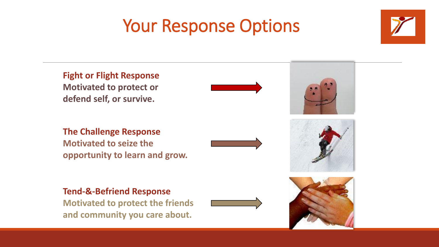## Your Response Options



**Fight or Flight Response Motivated to protect or defend self, or survive.**

**The Challenge Response Motivated to seize the opportunity to learn and grow.**



### **Tend-&-Befriend Response**

**Motivated to protect the friends and community you care about.**







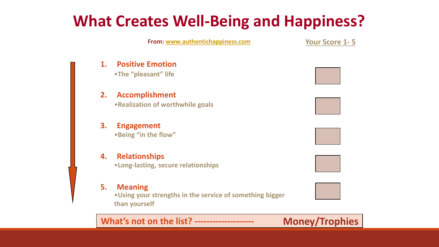### **What Creates Well-Being and Happiness?**

**From: [www.authentichappiness.com](http://www.authentichappiness.com/)**

**Your Score 1- 5**

**1. Positive Emotion**

•**The "pleasant" life**

#### **2. Accomplishment** •**Realization of worthwhile goals**

#### **3. Engagement** •**Being "in the flow"**

#### **4. Relationships** •**Long-lasting, secure relationships**

#### **5. Meaning**

•**Using your strengths in the service of something bigger than yourself**

#### **What's not on the list? -------------------- Money/Trophies**







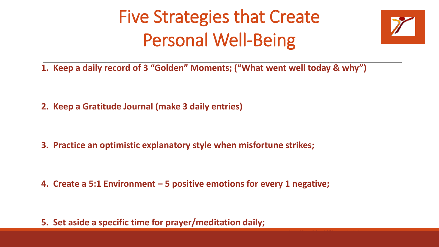# Five Strategies that Create Personal Well-Being



**1. Keep a daily record of 3 "Golden" Moments; ("What went well today & why")**

**2. Keep a Gratitude Journal (make 3 daily entries)**

**3. Practice an optimistic explanatory style when misfortune strikes;**

**4. Create a 5:1 Environment – 5 positive emotions for every 1 negative;**

**5. Set aside a specific time for prayer/meditation daily;**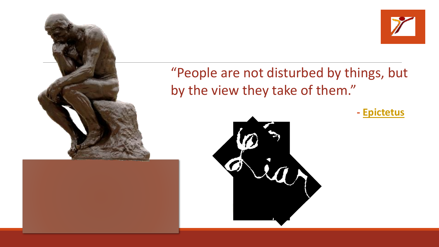



### "People are not disturbed by things, but by the view they take of them."

**- [Epictetus](http://www.brainyquote.com/quotes/quotes/e/epictetus104206.html)**

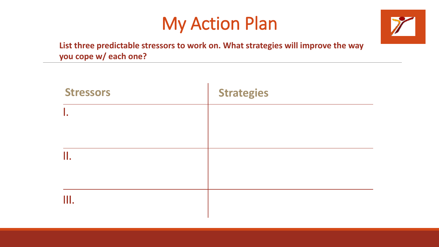## My Action Plan



**List three predictable stressors to work on. What strategies will improve the way you cope w/ each one?**

| <b>Stressors</b> | <b>Strategies</b> |
|------------------|-------------------|
| Ι.               |                   |
|                  |                   |
| 11.              |                   |
|                  |                   |
| Ш.               |                   |
|                  |                   |